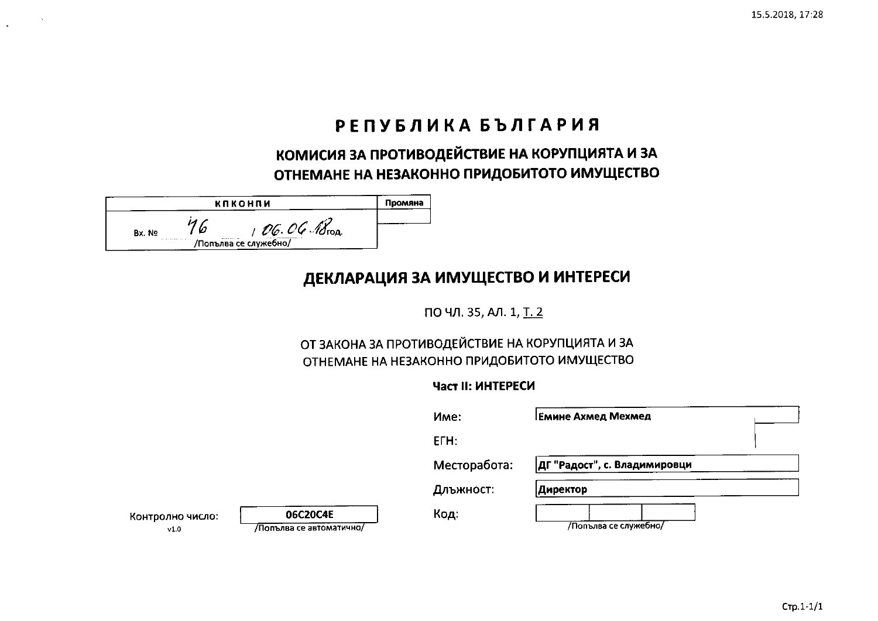## РЕПУБЛИКА БЪЛГАРИЯ

КОМИСИЯ ЗА ПРОТИВОДЕЙСТВИЕ НА КОРУПЦИЯТА И ЗА ОТНЕМАНЕ НА НЕЗАКОННО ПРИДОБИТОТО ИМУЩЕСТВО

|        | кпконпи |                                                      | Промяна |
|--------|---------|------------------------------------------------------|---------|
| Bx. No | .       | O.G. O.G. 18 <sub>ron</sub><br>/Попълва се служебно/ |         |

# ДЕКЛАРАЦИЯ ЗА ИМУЩЕСТВО И ИНТЕРЕСИ

ПО ЧЛ. 35, АЛ. 1, Т. 2

## ОТ ЗАКОНА ЗА ПРОТИВОДЕЙСТВИЕ НА КОРУПЦИЯТА И ЗА ОТНЕМАНЕ НА НЕЗАКОННО ПРИДОБИТОТО ИМУЩЕСТВО

### Част II: ИНТЕРЕСИ

|                          |                                      | Име:         | <b>Емине Ахмед Мехмед</b>    |
|--------------------------|--------------------------------------|--------------|------------------------------|
|                          |                                      | ETH:         |                              |
|                          |                                      | Месторабота: | ДГ "Радост", с. Владимировци |
|                          |                                      | Длъжност:    | Директор                     |
| Контролно число:<br>v1.0 | 06C20C4E<br>/Попълва се автоматично/ | Код:         | /Попълва се служебно/        |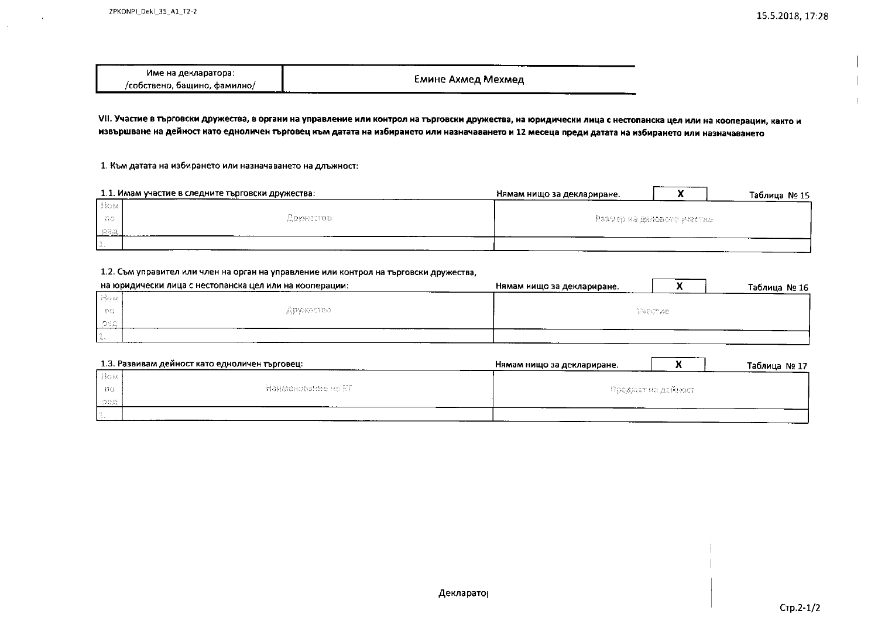$\sim$ 

| Име на декларатора:          |                    |
|------------------------------|--------------------|
| /собствено, бащино, фамилно/ | Емине Ахмед Мехмед |

VII. Участие в търговски дружества, в органи на управление или контрол на търговски дружества, на юридически лица с нестопанска цел или на кооперации, както и извършване на дейност като едноличен търговец към датата на избирането или назначаването и 12 месеца преди датата на избирането или назначаването

1. Към датата на избирането или назначаването на длъжност:

|             | 1.1. Имам участие в следните търговски дружества: | Нямам нищо за деклариране.    |  | Таблица № 15 |
|-------------|---------------------------------------------------|-------------------------------|--|--------------|
| <b>Biom</b> |                                                   |                               |  |              |
| - 80        | Sephented.                                        | -Размер на дяловото участне - |  |              |
| - Eren      |                                                   |                               |  |              |
|             |                                                   |                               |  |              |

#### 1.2. Съм управител или член на орган на управление или контрол на търговски дружества,

|                        | на юридически лица с нестопанска цел или на кооперации: | Нямам нищо за деклариране. |  | Таблица № 16 |
|------------------------|---------------------------------------------------------|----------------------------|--|--------------|
| ीविध्य                 |                                                         |                            |  |              |
| <b>TEG</b>             | APPORTED.                                               | <b>Shactive</b>            |  |              |
|                        |                                                         |                            |  |              |
| <b><i>Contract</i></b> |                                                         |                            |  |              |

|          | 1.3. Развивам дейност като едноличен търговец: | Нямам нищо за деклариране. |  | Таблица № 17 |
|----------|------------------------------------------------|----------------------------|--|--------------|
| -How     |                                                |                            |  |              |
| - ISS    | -Наименование на ЕТ-                           | - Предмет на дейност-      |  |              |
| - 33.912 |                                                |                            |  |              |
|          |                                                |                            |  |              |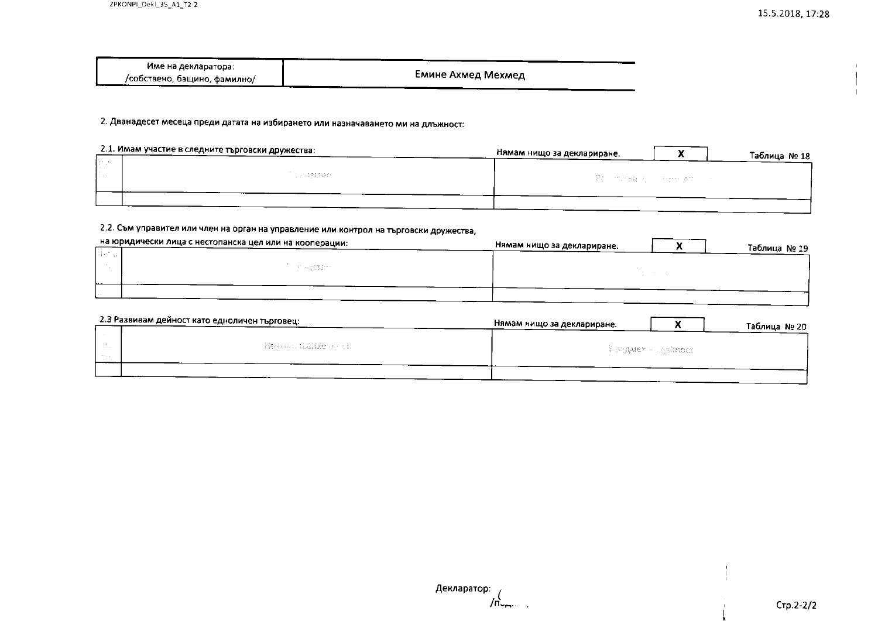| Име на декларатора:          |                    |
|------------------------------|--------------------|
| /собствено, бащино, фамилно/ | Емине Ахмед Мехмед |

2. Дванадесет месеца преди датата на избирането или назначаването ми на длъжност:

|             | 2.1. Имам участие в следните търговски дружества: | Нямам нищо за деклариране.     | Таблица № 18 |
|-------------|---------------------------------------------------|--------------------------------|--------------|
| <b>STAR</b> |                                                   |                                |              |
|             | List Controller                                   | - 『歌』 Min 雅美 No. Shing you con |              |
|             |                                                   |                                |              |

### 2.2. Съм управител или член на орган на управление или контрол на търговски дружества,

| на юридически лица с нестопанска цел или на кооперации: | Нямам нищо за деклариране.<br>Таблица № 19 |
|---------------------------------------------------------|--------------------------------------------|
|                                                         |                                            |
| FT HIS ESSENT                                           |                                            |
|                                                         |                                            |
|                                                         |                                            |
|                                                         |                                            |

| 2.3 Развивам дейност като едноличен търговец: | Нямам нищо за деклариране. |                      | Таблица № 20 |
|-----------------------------------------------|----------------------------|----------------------|--------------|
|                                               |                            |                      |              |
| - Makoner, Stadige Highed -                   |                            | — Ррадием — сав≥ност |              |
|                                               |                            |                      |              |
|                                               |                            |                      |              |

Декларатор:  $/$  $\vec{n}$